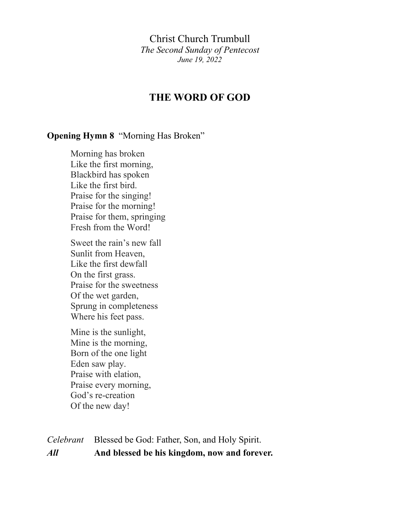Christ Church Trumbull *The Second Sunday of Pentecost June 19, 2022*

### **THE WORD OF GOD**

#### **Opening Hymn 8** "Morning Has Broken"

Morning has broken Like the first morning, Blackbird has spoken Like the first bird. Praise for the singing! Praise for the morning! Praise for them, springing Fresh from the Word!

Sweet the rain's new fall Sunlit from Heaven, Like the first dewfall On the first grass. Praise for the sweetness Of the wet garden, Sprung in completeness Where his feet pass.

Mine is the sunlight, Mine is the morning, Born of the one light Eden saw play. Praise with elation, Praise every morning, God's re-creation Of the new day!

*Celebrant* Blessed be God: Father, Son, and Holy Spirit. *All* **And blessed be his kingdom, now and forever.**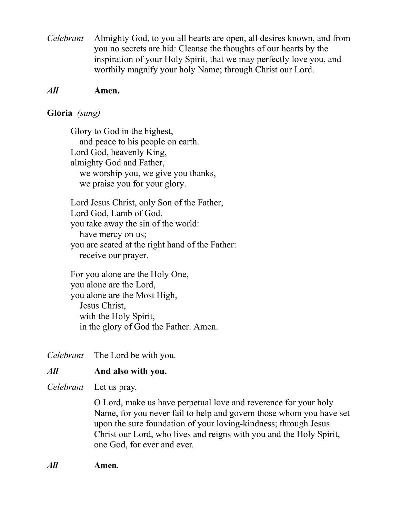*Celebrant* Almighty God, to you all hearts are open, all desires known, and from you no secrets are hid: Cleanse the thoughts of our hearts by the inspiration of your Holy Spirit, that we may perfectly love you, and worthily magnify your holy Name; through Christ our Lord.

### *All* **Amen.**

#### **Gloria** *(sung)*

Glory to God in the highest, and peace to his people on earth. Lord God, heavenly King, almighty God and Father, we worship you, we give you thanks, we praise you for your glory.

Lord Jesus Christ, only Son of the Father, Lord God, Lamb of God, you take away the sin of the world: have mercy on us; you are seated at the right hand of the Father: receive our prayer.

For you alone are the Holy One, you alone are the Lord, you alone are the Most High, Jesus Christ, with the Holy Spirit, in the glory of God the Father. Amen.

*Celebrant* The Lord be with you.

### *All* **And also with you.**

*Celebrant* Let us pray.

O Lord, make us have perpetual love and reverence for your holy Name, for you never fail to help and govern those whom you have set upon the sure foundation of your loving-kindness; through Jesus Christ our Lord, who lives and reigns with you and the Holy Spirit, one God, for ever and ever.

*All* **Amen***.*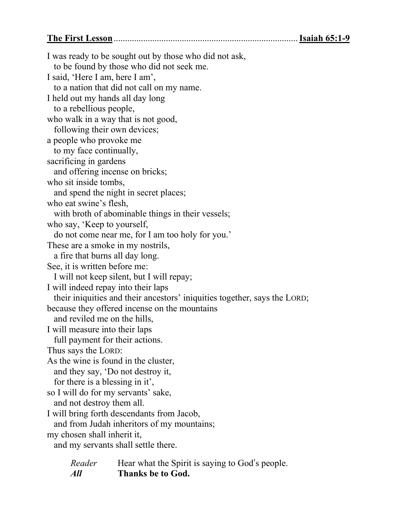**The First Lesson**.................................................................................**Isaiah 65:1-9**

I was ready to be sought out by those who did not ask, to be found by those who did not seek me. I said, 'Here I am, here I am', to a nation that did not call on my name. I held out my hands all day long to a rebellious people, who walk in a way that is not good, following their own devices; a people who provoke me to my face continually, sacrificing in gardens and offering incense on bricks; who sit inside tombs, and spend the night in secret places; who eat swine's flesh, with broth of abominable things in their vessels; who say, 'Keep to yourself, do not come near me, for I am too holy for you.' These are a smoke in my nostrils, a fire that burns all day long. See, it is written before me: I will not keep silent, but I will repay; I will indeed repay into their laps their iniquities and their ancestors' iniquities together, says the LORD; because they offered incense on the mountains and reviled me on the hills, I will measure into their laps full payment for their actions. Thus says the LORD: As the wine is found in the cluster, and they say, 'Do not destroy it, for there is a blessing in it', so I will do for my servants' sake, and not destroy them all. I will bring forth descendants from Jacob, and from Judah inheritors of my mountains; my chosen shall inherit it, and my servants shall settle there. *Reader* Hear what the Spirit is saying to God's people.

*All* **Thanks be to God.**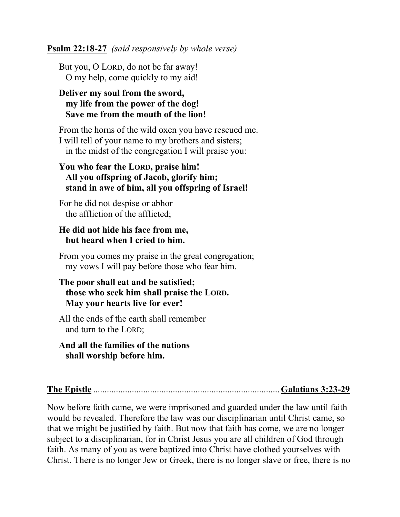#### **Psalm 22:18-27** *(said responsively by whole verse)*

But you, O LORD, do not be far away! O my help, come quickly to my aid!

### **Deliver my soul from the sword, my life from the power of the dog! Save me from the mouth of the lion!**

From the horns of the wild oxen you have rescued me. I will tell of your name to my brothers and sisters; in the midst of the congregation I will praise you:

### **You who fear the LORD, praise him! All you offspring of Jacob, glorify him; stand in awe of him, all you offspring of Israel!**

For he did not despise or abhor the affliction of the afflicted;

### **He did not hide his face from me, but heard when I cried to him.**

From you comes my praise in the great congregation; my vows I will pay before those who fear him.

### **The poor shall eat and be satisfied; those who seek him shall praise the LORD. May your hearts live for ever!**

All the ends of the earth shall remember and turn to the LORD;

### **And all the families of the nations shall worship before him.**

**The Epistle** ..................................................................................**Galatians 3:23-29**

Now before faith came, we were imprisoned and guarded under the law until faith would be revealed. Therefore the law was our disciplinarian until Christ came, so that we might be justified by faith. But now that faith has come, we are no longer subject to a disciplinarian, for in Christ Jesus you are all children of God through faith. As many of you as were baptized into Christ have clothed yourselves with Christ. There is no longer Jew or Greek, there is no longer slave or free, there is no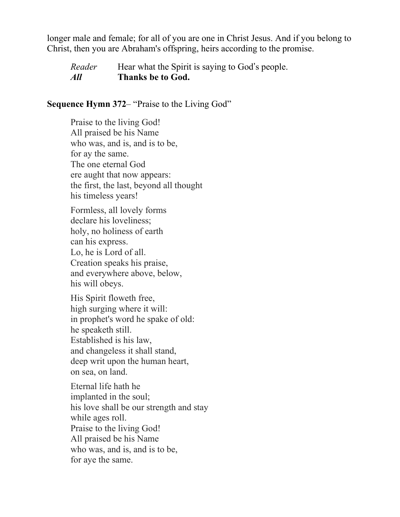longer male and female; for all of you are one in Christ Jesus. And if you belong to Christ, then you are Abraham's offspring, heirs according to the promise.

*Reader* Hear what the Spirit is saying to God's people. *All* **Thanks be to God.**

#### **Sequence Hymn 372**– "Praise to the Living God"

Praise to the living God! All praised be his Name who was, and is, and is to be, for ay the same. The one eternal God ere aught that now appears: the first, the last, beyond all thought his timeless years!

Formless, all lovely forms declare his loveliness; holy, no holiness of earth can his express. Lo, he is Lord of all. Creation speaks his praise, and everywhere above, below, his will obeys.

His Spirit floweth free, high surging where it will: in prophet's word he spake of old: he speaketh still. Established is his law, and changeless it shall stand, deep writ upon the human heart, on sea, on land.

Eternal life hath he implanted in the soul; his love shall be our strength and stay while ages roll. Praise to the living God! All praised be his Name who was, and is, and is to be, for aye the same.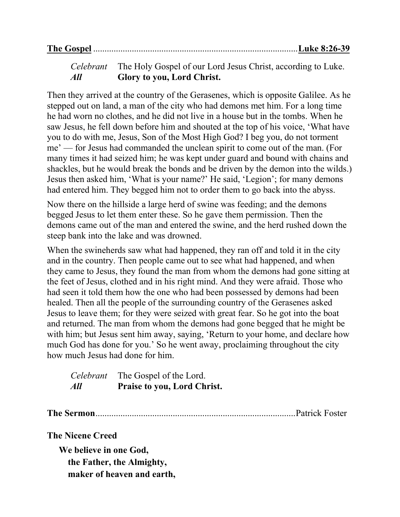*Celebrant* The Holy Gospel of our Lord Jesus Christ, according to Luke. *All* **Glory to you, Lord Christ.**

Then they arrived at the country of the Gerasenes, which is opposite Galilee. As he stepped out on land, a man of the city who had demons met him. For a long time he had worn no clothes, and he did not live in a house but in the tombs. When he saw Jesus, he fell down before him and shouted at the top of his voice, 'What have you to do with me, Jesus, Son of the Most High God? I beg you, do not torment me' — for Jesus had commanded the unclean spirit to come out of the man. (For many times it had seized him; he was kept under guard and bound with chains and shackles, but he would break the bonds and be driven by the demon into the wilds.) Jesus then asked him, 'What is your name?' He said, 'Legion'; for many demons had entered him. They begged him not to order them to go back into the abyss.

Now there on the hillside a large herd of swine was feeding; and the demons begged Jesus to let them enter these. So he gave them permission. Then the demons came out of the man and entered the swine, and the herd rushed down the steep bank into the lake and was drowned.

When the swineherds saw what had happened, they ran off and told it in the city and in the country. Then people came out to see what had happened, and when they came to Jesus, they found the man from whom the demons had gone sitting at the feet of Jesus, clothed and in his right mind. And they were afraid. Those who had seen it told them how the one who had been possessed by demons had been healed. Then all the people of the surrounding country of the Gerasenes asked Jesus to leave them; for they were seized with great fear. So he got into the boat and returned. The man from whom the demons had gone begged that he might be with him; but Jesus sent him away, saying, 'Return to your home, and declare how much God has done for you.' So he went away, proclaiming throughout the city how much Jesus had done for him.

|     | <i>Celebrant</i> The Gospel of the Lord. |
|-----|------------------------------------------|
| All | <b>Praise to you, Lord Christ.</b>       |

**The Sermon**........................................................................................Patrick Foster

**The Nicene Creed**

**We believe in one God, the Father, the Almighty, maker of heaven and earth,**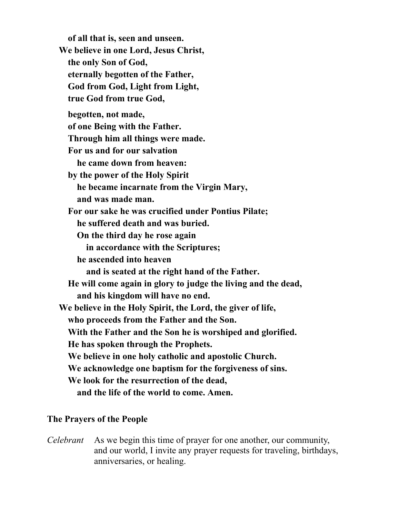**of all that is, seen and unseen. We believe in one Lord, Jesus Christ, the only Son of God, eternally begotten of the Father, God from God, Light from Light, true God from true God, begotten, not made, of one Being with the Father. Through him all things were made. For us and for our salvation he came down from heaven: by the power of the Holy Spirit he became incarnate from the Virgin Mary, and was made man. For our sake he was crucified under Pontius Pilate; he suffered death and was buried. On the third day he rose again in accordance with the Scriptures; he ascended into heaven and is seated at the right hand of the Father. He will come again in glory to judge the living and the dead, and his kingdom will have no end. We believe in the Holy Spirit, the Lord, the giver of life, who proceeds from the Father and the Son. With the Father and the Son he is worshiped and glorified. He has spoken through the Prophets. We believe in one holy catholic and apostolic Church. We acknowledge one baptism for the forgiveness of sins. We look for the resurrection of the dead, and the life of the world to come. Amen.**

### **The Prayers of the People**

*Celebrant* As we begin this time of prayer for one another, our community, and our world, I invite any prayer requests for traveling, birthdays, anniversaries, or healing.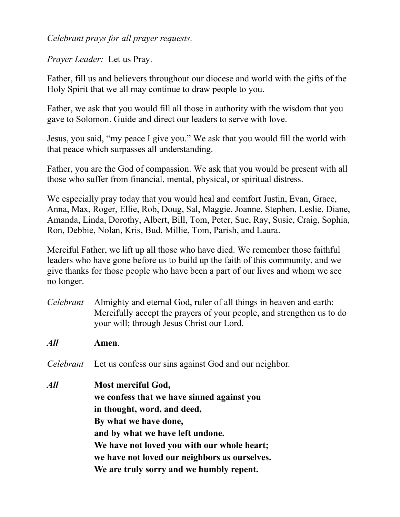### *Celebrant prays for all prayer requests.*

*Prayer Leader:* Let us Pray.

Father, fill us and believers throughout our diocese and world with the gifts of the Holy Spirit that we all may continue to draw people to you.

Father, we ask that you would fill all those in authority with the wisdom that you gave to Solomon. Guide and direct our leaders to serve with love.

Jesus, you said, "my peace I give you." We ask that you would fill the world with that peace which surpasses all understanding.

Father, you are the God of compassion. We ask that you would be present with all those who suffer from financial, mental, physical, or spiritual distress.

We especially pray today that you would heal and comfort Justin, Evan, Grace, Anna, Max, Roger, Ellie, Rob, Doug, Sal, Maggie, Joanne, Stephen, Leslie, Diane, Amanda, Linda, Dorothy, Albert, Bill, Tom, Peter, Sue, Ray, Susie, Craig, Sophia, Ron, Debbie, Nolan, Kris, Bud, Millie, Tom, Parish, and Laura.

Merciful Father, we lift up all those who have died. We remember those faithful leaders who have gone before us to build up the faith of this community, and we give thanks for those people who have been a part of our lives and whom we see no longer.

- *Celebrant* Almighty and eternal God, ruler of all things in heaven and earth: Mercifully accept the prayers of your people, and strengthen us to do your will; through Jesus Christ our Lord.
- *All* **Amen**.

*Celebrant* Let us confess our sins against God and our neighbor.

*All* **Most merciful God, we confess that we have sinned against you in thought, word, and deed, By what we have done, and by what we have left undone. We have not loved you with our whole heart; we have not loved our neighbors as ourselves. We are truly sorry and we humbly repent.**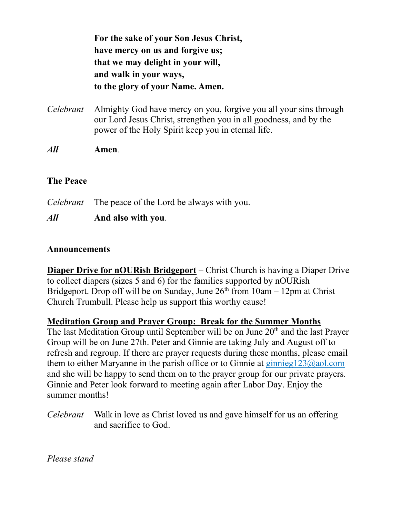**For the sake of your Son Jesus Christ, have mercy on us and forgive us; that we may delight in your will, and walk in your ways, to the glory of your Name. Amen.**

*Celebrant* Almighty God have mercy on you, forgive you all your sins through our Lord Jesus Christ, strengthen you in all goodness, and by the power of the Holy Spirit keep you in eternal life.

*All* **Amen***.*

### **The Peace**

*Celebrant* The peace of the Lord be always with you.

### *All* **And also with you***.*

#### **Announcements**

**Diaper Drive for nOURish Bridgeport** – Christ Church is having a Diaper Drive to collect diapers (sizes 5 and 6) for the families supported by nOURish Bridgeport. Drop off will be on Sunday, June  $26<sup>th</sup>$  from  $10am - 12pm$  at Christ Church Trumbull. Please help us support this worthy cause!

### **Meditation Group and Prayer Group: Break for the Summer Months**

The last Meditation Group until September will be on June 20<sup>th</sup> and the last Prayer Group will be on June 27th. Peter and Ginnie are taking July and August off to refresh and regroup. If there are prayer requests during these months, please email them to either Maryanne in the parish office or to Ginnie at [ginnieg123@aol.com](mailto:ginnieg123@aol.com) and she will be happy to send them on to the prayer group for our private prayers. Ginnie and Peter look forward to meeting again after Labor Day. Enjoy the summer months!

*Celebrant* Walk in love as Christ loved us and gave himself for us an offering and sacrifice to God.

*Please stand*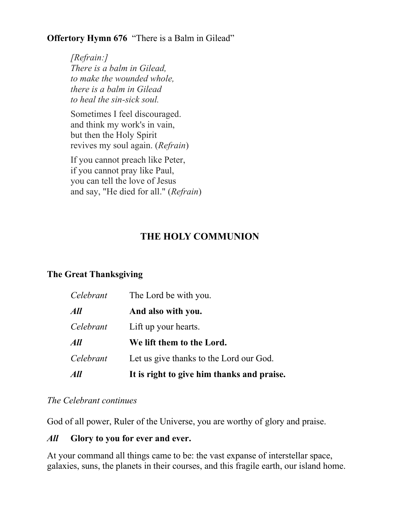### **Offertory Hymn 676** "There is a Balm in Gilead"

*[Refrain:] There is a balm in Gilead, to make the wounded whole, there is a balm in Gilead to heal the sin-sick soul.*

Sometimes I feel discouraged. and think my work's in vain, but then the Holy Spirit revives my soul again. (*Refrain*)

If you cannot preach like Peter, if you cannot pray like Paul, you can tell the love of Jesus and say, "He died for all." (*Refrain*)

# **THE HOLY COMMUNION**

### **The Great Thanksgiving**

| All       | It is right to give him thanks and praise. |
|-----------|--------------------------------------------|
| Celebrant | Let us give thanks to the Lord our God.    |
| All       | We lift them to the Lord.                  |
| Celebrant | Lift up your hearts.                       |
| All       | And also with you.                         |
| Celebrant | The Lord be with you.                      |

### *The Celebrant continues*

God of all power, Ruler of the Universe, you are worthy of glory and praise.

### *All* **Glory to you for ever and ever.**

At your command all things came to be: the vast expanse of interstellar space, galaxies, suns, the planets in their courses, and this fragile earth, our island home.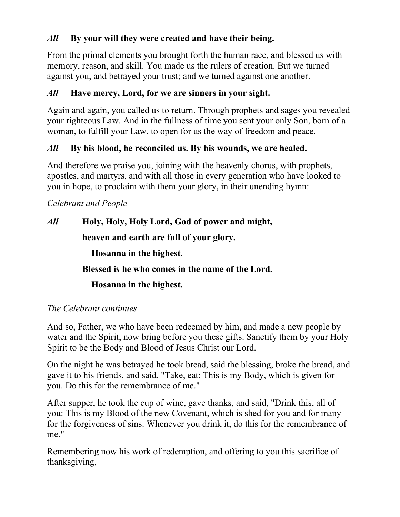## *All* **By your will they were created and have their being.**

From the primal elements you brought forth the human race, and blessed us with memory, reason, and skill. You made us the rulers of creation. But we turned against you, and betrayed your trust; and we turned against one another.

### *All* **Have mercy, Lord, for we are sinners in your sight.**

Again and again, you called us to return. Through prophets and sages you revealed your righteous Law. And in the fullness of time you sent your only Son, born of a woman, to fulfill your Law, to open for us the way of freedom and peace.

## *All* **By his blood, he reconciled us. By his wounds, we are healed.**

And therefore we praise you, joining with the heavenly chorus, with prophets, apostles, and martyrs, and with all those in every generation who have looked to you in hope, to proclaim with them your glory, in their unending hymn:

## *Celebrant and People*

*All* **Holy, Holy, Holy Lord, God of power and might, heaven and earth are full of your glory. Hosanna in the highest. Blessed is he who comes in the name of the Lord. Hosanna in the highest.**

### *The Celebrant continues*

And so, Father, we who have been redeemed by him, and made a new people by water and the Spirit, now bring before you these gifts. Sanctify them by your Holy Spirit to be the Body and Blood of Jesus Christ our Lord.

On the night he was betrayed he took bread, said the blessing, broke the bread, and gave it to his friends, and said, "Take, eat: This is my Body, which is given for you. Do this for the remembrance of me."

After supper, he took the cup of wine, gave thanks, and said, "Drink this, all of you: This is my Blood of the new Covenant, which is shed for you and for many for the forgiveness of sins. Whenever you drink it, do this for the remembrance of me."

Remembering now his work of redemption, and offering to you this sacrifice of thanksgiving,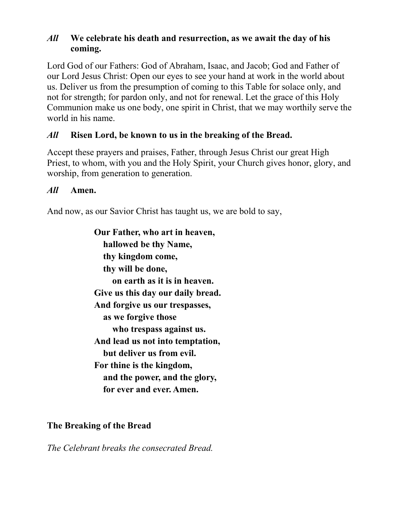### *All* **We celebrate his death and resurrection, as we await the day of his coming.**

Lord God of our Fathers: God of Abraham, Isaac, and Jacob; God and Father of our Lord Jesus Christ: Open our eyes to see your hand at work in the world about us. Deliver us from the presumption of coming to this Table for solace only, and not for strength; for pardon only, and not for renewal. Let the grace of this Holy Communion make us one body, one spirit in Christ, that we may worthily serve the world in his name.

### *All* **Risen Lord, be known to us in the breaking of the Bread.**

Accept these prayers and praises, Father, through Jesus Christ our great High Priest, to whom, with you and the Holy Spirit, your Church gives honor, glory, and worship, from generation to generation.

### *All* **Amen.**

And now, as our Savior Christ has taught us, we are bold to say,

**Our Father, who art in heaven, hallowed be thy Name, thy kingdom come, thy will be done, on earth as it is in heaven. Give us this day our daily bread. And forgive us our trespasses, as we forgive those who trespass against us. And lead us not into temptation, but deliver us from evil. For thine is the kingdom, and the power, and the glory, for ever and ever. Amen.**

### **The Breaking of the Bread**

*The Celebrant breaks the consecrated Bread.*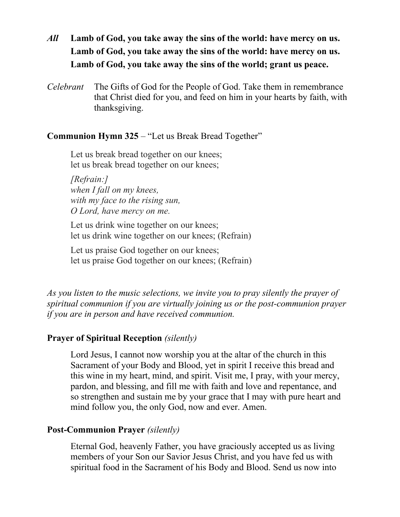- *All* **Lamb of God, you take away the sins of the world: have mercy on us. Lamb of God, you take away the sins of the world: have mercy on us. Lamb of God, you take away the sins of the world; grant us peace.**
- *Celebrant* The Gifts of God for the People of God. Take them in remembrance that Christ died for you, and feed on him in your hearts by faith, with thanksgiving.

### **Communion Hymn 325** – "Let us Break Bread Together"

Let us break bread together on our knees; let us break bread together on our knees;

*[Refrain:] when I fall on my knees, with my face to the rising sun, O Lord, have mercy on me.*

Let us drink wine together on our knees; let us drink wine together on our knees; (Refrain)

Let us praise God together on our knees; let us praise God together on our knees; (Refrain)

*As you listen to the music selections, we invite you to pray silently the prayer of spiritual communion if you are virtually joining us or the post-communion prayer if you are in person and have received communion.*

### **Prayer of Spiritual Reception** *(silently)*

Lord Jesus, I cannot now worship you at the altar of the church in this Sacrament of your Body and Blood, yet in spirit I receive this bread and this wine in my heart, mind, and spirit. Visit me, I pray, with your mercy, pardon, and blessing, and fill me with faith and love and repentance, and so strengthen and sustain me by your grace that I may with pure heart and mind follow you, the only God, now and ever. Amen.

### **Post-Communion Prayer** *(silently)*

Eternal God, heavenly Father, you have graciously accepted us as living members of your Son our Savior Jesus Christ, and you have fed us with spiritual food in the Sacrament of his Body and Blood. Send us now into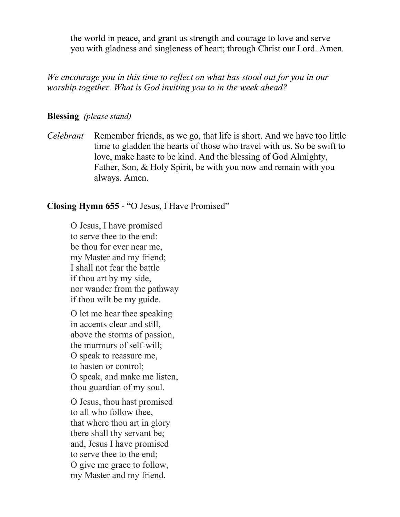the world in peace, and grant us strength and courage to love and serve you with gladness and singleness of heart; through Christ our Lord. Amen*.*

*We encourage you in this time to reflect on what has stood out for you in our worship together. What is God inviting you to in the week ahead?*

#### **Blessing** *(please stand)*

*Celebrant* Remember friends, as we go, that life is short. And we have too little time to gladden the hearts of those who travel with us. So be swift to love, make haste to be kind. And the blessing of God Almighty, Father, Son, & Holy Spirit, be with you now and remain with you always. Amen.

#### **Closing Hymn 655** - "O Jesus, I Have Promised"

O Jesus, I have promised to serve thee to the end: be thou for ever near me, my Master and my friend; I shall not fear the battle if thou art by my side, nor wander from the pathway if thou wilt be my guide.

O let me hear thee speaking in accents clear and still, above the storms of passion, the murmurs of self-will; O speak to reassure me, to hasten or control; O speak, and make me listen, thou guardian of my soul.

O Jesus, thou hast promised to all who follow thee, that where thou art in glory there shall thy servant be; and, Jesus I have promised to serve thee to the end; O give me grace to follow, my Master and my friend.